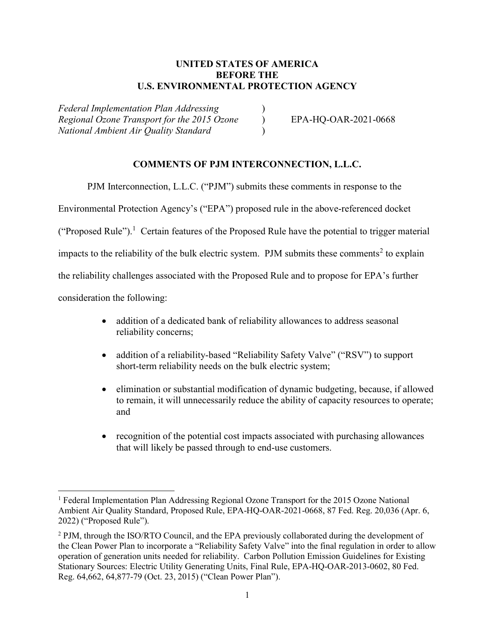# UNITED STATES OF AMERICA BEFORE THE U.S. ENVIRONMENTAL PROTECTION AGENCY

Federal Implementation Plan Addressing ) Regional Ozone Transport for the 2015 Ozone (b) EPA-HQ-OAR-2021-0668 National Ambient Air Quality Standard )

## COMMENTS OF PJM INTERCONNECTION, L.L.C.

PJM Interconnection, L.L.C. ("PJM") submits these comments in response to the

Environmental Protection Agency's ("EPA") proposed rule in the above-referenced docket

("Proposed Rule").<sup>1</sup> Certain features of the Proposed Rule have the potential to trigger material

impacts to the reliability of the bulk electric system. PJM submits these comments<sup>2</sup> to explain

the reliability challenges associated with the Proposed Rule and to propose for EPA's further

consideration the following:

- addition of a dedicated bank of reliability allowances to address seasonal reliability concerns;
- addition of a reliability-based "Reliability Safety Valve" ("RSV") to support short-term reliability needs on the bulk electric system;
- elimination or substantial modification of dynamic budgeting, because, if allowed to remain, it will unnecessarily reduce the ability of capacity resources to operate; and
- recognition of the potential cost impacts associated with purchasing allowances that will likely be passed through to end-use customers.

<sup>&</sup>lt;sup>1</sup> Federal Implementation Plan Addressing Regional Ozone Transport for the 2015 Ozone National Ambient Air Quality Standard, Proposed Rule, EPA-HQ-OAR-2021-0668, 87 Fed. Reg. 20,036 (Apr. 6, 2022) ("Proposed Rule").

<sup>&</sup>lt;sup>2</sup> PJM, through the ISO/RTO Council, and the EPA previously collaborated during the development of the Clean Power Plan to incorporate a "Reliability Safety Valve" into the final regulation in order to allow operation of generation units needed for reliability. Carbon Pollution Emission Guidelines for Existing Stationary Sources: Electric Utility Generating Units, Final Rule, EPA-HQ-OAR-2013-0602, 80 Fed. Reg. 64,662, 64,877-79 (Oct. 23, 2015) ("Clean Power Plan").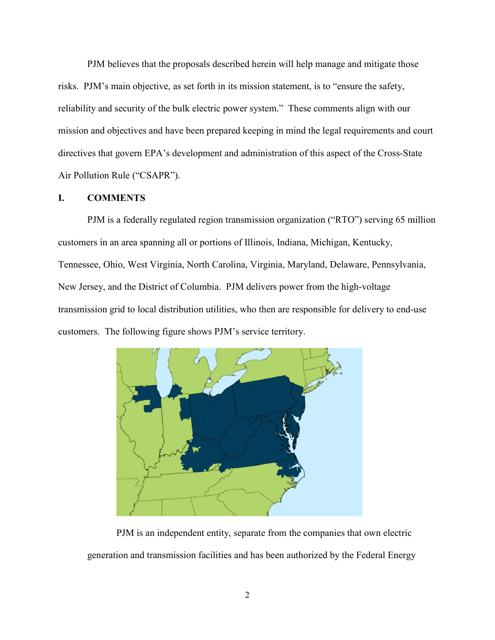PJM believes that the proposals described herein will help manage and mitigate those risks. PJM's main objective, as set forth in its mission statement, is to "ensure the safety, reliability and security of the bulk electric power system." These comments align with our mission and objectives and have been prepared keeping in mind the legal requirements and court directives that govern EPA's development and administration of this aspect of the Cross-State Air Pollution Rule ("CSAPR").

### I. COMMENTS

 PJM is a federally regulated region transmission organization ("RTO") serving 65 million customers in an area spanning all or portions of Illinois, Indiana, Michigan, Kentucky, Tennessee, Ohio, West Virginia, North Carolina, Virginia, Maryland, Delaware, Pennsylvania, New Jersey, and the District of Columbia. PJM delivers power from the high-voltage transmission grid to local distribution utilities, who then are responsible for delivery to end-use customers. The following figure shows PJM's service territory.



 PJM is an independent entity, separate from the companies that own electric generation and transmission facilities and has been authorized by the Federal Energy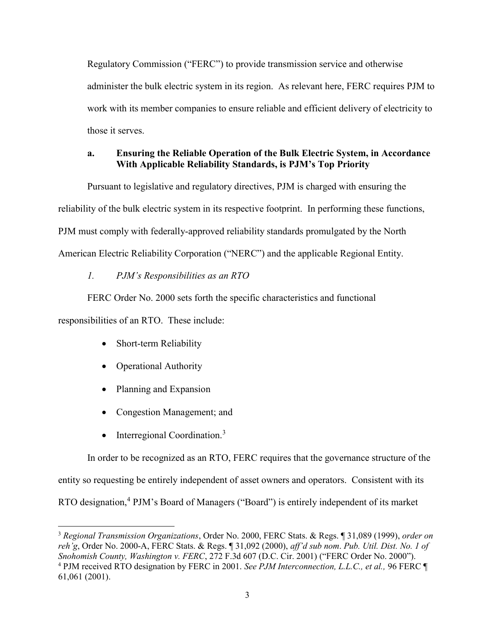Regulatory Commission ("FERC") to provide transmission service and otherwise administer the bulk electric system in its region. As relevant here, FERC requires PJM to work with its member companies to ensure reliable and efficient delivery of electricity to those it serves.

## a. Ensuring the Reliable Operation of the Bulk Electric System, in Accordance With Applicable Reliability Standards, is PJM's Top Priority

Pursuant to legislative and regulatory directives, PJM is charged with ensuring the reliability of the bulk electric system in its respective footprint. In performing these functions, PJM must comply with federally-approved reliability standards promulgated by the North American Electric Reliability Corporation ("NERC") and the applicable Regional Entity.

# 1. PJM's Responsibilities as an RTO

FERC Order No. 2000 sets forth the specific characteristics and functional responsibilities of an RTO. These include:

- Short-term Reliability
- Operational Authority
- Planning and Expansion
- Congestion Management; and
- $\bullet$  Interregional Coordination.<sup>3</sup>

In order to be recognized as an RTO, FERC requires that the governance structure of the entity so requesting be entirely independent of asset owners and operators. Consistent with its RTO designation,<sup>4</sup> PJM's Board of Managers ("Board") is entirely independent of its market

<sup>&</sup>lt;sup>3</sup> Regional Transmission Organizations, Order No. 2000, FERC Stats. & Regs. [ 31,089 (1999), order on reh'g, Order No. 2000-A, FERC Stats. & Regs. ¶ 31,092 (2000), aff'd sub nom. Pub. Util. Dist. No. 1 of Snohomish County, Washington v. FERC, 272 F.3d 607 (D.C. Cir. 2001) ("FERC Order No. 2000").  $^{4}$  PJM received RTO designation by FERC in 2001. See PJM Interconnection, L.L.C., et al., 96 FERC  $\P$ 61,061 (2001).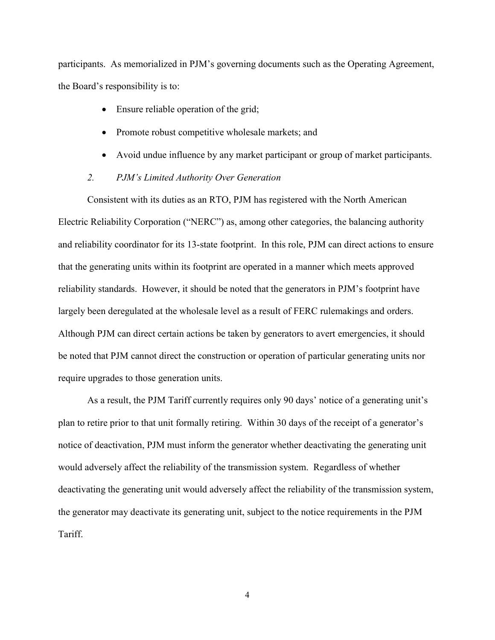participants. As memorialized in PJM's governing documents such as the Operating Agreement, the Board's responsibility is to:

- Ensure reliable operation of the grid;
- Promote robust competitive wholesale markets; and
- Avoid undue influence by any market participant or group of market participants.
- 2. PJM's Limited Authority Over Generation

Consistent with its duties as an RTO, PJM has registered with the North American Electric Reliability Corporation ("NERC") as, among other categories, the balancing authority and reliability coordinator for its 13-state footprint. In this role, PJM can direct actions to ensure that the generating units within its footprint are operated in a manner which meets approved reliability standards. However, it should be noted that the generators in PJM's footprint have largely been deregulated at the wholesale level as a result of FERC rulemakings and orders. Although PJM can direct certain actions be taken by generators to avert emergencies, it should be noted that PJM cannot direct the construction or operation of particular generating units nor require upgrades to those generation units.

As a result, the PJM Tariff currently requires only 90 days' notice of a generating unit's plan to retire prior to that unit formally retiring. Within 30 days of the receipt of a generator's notice of deactivation, PJM must inform the generator whether deactivating the generating unit would adversely affect the reliability of the transmission system. Regardless of whether deactivating the generating unit would adversely affect the reliability of the transmission system, the generator may deactivate its generating unit, subject to the notice requirements in the PJM Tariff.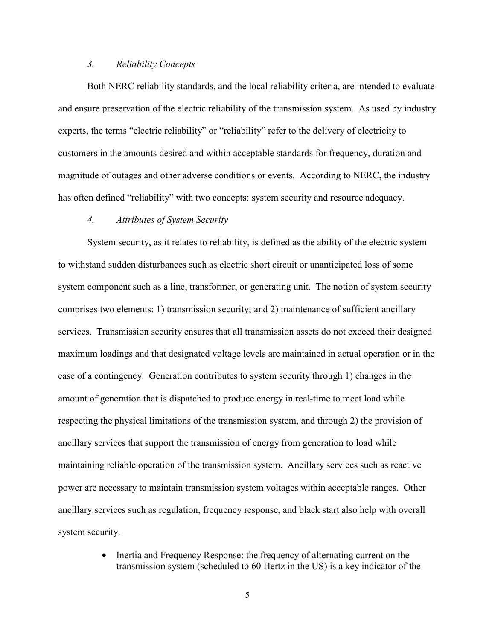#### 3. Reliability Concepts

Both NERC reliability standards, and the local reliability criteria, are intended to evaluate and ensure preservation of the electric reliability of the transmission system. As used by industry experts, the terms "electric reliability" or "reliability" refer to the delivery of electricity to customers in the amounts desired and within acceptable standards for frequency, duration and magnitude of outages and other adverse conditions or events. According to NERC, the industry has often defined "reliability" with two concepts: system security and resource adequacy.

#### 4. Attributes of System Security

System security, as it relates to reliability, is defined as the ability of the electric system to withstand sudden disturbances such as electric short circuit or unanticipated loss of some system component such as a line, transformer, or generating unit. The notion of system security comprises two elements: 1) transmission security; and 2) maintenance of sufficient ancillary services. Transmission security ensures that all transmission assets do not exceed their designed maximum loadings and that designated voltage levels are maintained in actual operation or in the case of a contingency. Generation contributes to system security through 1) changes in the amount of generation that is dispatched to produce energy in real-time to meet load while respecting the physical limitations of the transmission system, and through 2) the provision of ancillary services that support the transmission of energy from generation to load while maintaining reliable operation of the transmission system. Ancillary services such as reactive power are necessary to maintain transmission system voltages within acceptable ranges. Other ancillary services such as regulation, frequency response, and black start also help with overall system security.

> • Inertia and Frequency Response: the frequency of alternating current on the transmission system (scheduled to 60 Hertz in the US) is a key indicator of the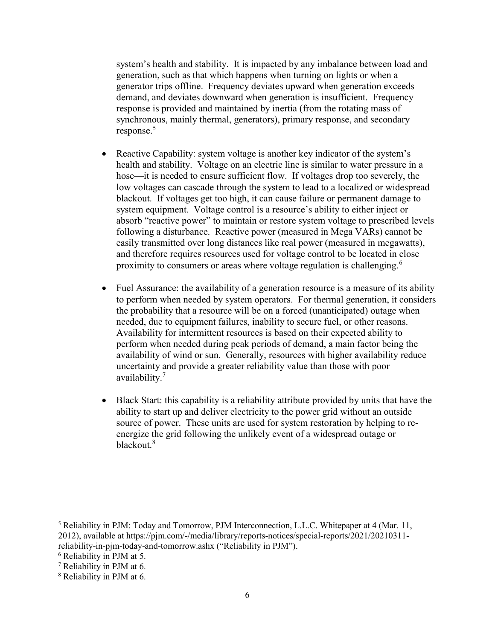system's health and stability. It is impacted by any imbalance between load and generation, such as that which happens when turning on lights or when a generator trips offline. Frequency deviates upward when generation exceeds demand, and deviates downward when generation is insufficient. Frequency response is provided and maintained by inertia (from the rotating mass of synchronous, mainly thermal, generators), primary response, and secondary response.<sup>5</sup>

- Reactive Capability: system voltage is another key indicator of the system's health and stability. Voltage on an electric line is similar to water pressure in a hose—it is needed to ensure sufficient flow. If voltages drop too severely, the low voltages can cascade through the system to lead to a localized or widespread blackout. If voltages get too high, it can cause failure or permanent damage to system equipment. Voltage control is a resource's ability to either inject or absorb "reactive power" to maintain or restore system voltage to prescribed levels following a disturbance. Reactive power (measured in Mega VARs) cannot be easily transmitted over long distances like real power (measured in megawatts), and therefore requires resources used for voltage control to be located in close proximity to consumers or areas where voltage regulation is challenging.<sup>6</sup>
- Fuel Assurance: the availability of a generation resource is a measure of its ability to perform when needed by system operators. For thermal generation, it considers the probability that a resource will be on a forced (unanticipated) outage when needed, due to equipment failures, inability to secure fuel, or other reasons. Availability for intermittent resources is based on their expected ability to perform when needed during peak periods of demand, a main factor being the availability of wind or sun. Generally, resources with higher availability reduce uncertainty and provide a greater reliability value than those with poor availability.<sup>7</sup>
- Black Start: this capability is a reliability attribute provided by units that have the ability to start up and deliver electricity to the power grid without an outside source of power. These units are used for system restoration by helping to reenergize the grid following the unlikely event of a widespread outage or blackout.<sup>8</sup>

 $\overline{a}$ 

<sup>&</sup>lt;sup>5</sup> Reliability in PJM: Today and Tomorrow, PJM Interconnection, L.L.C. Whitepaper at 4 (Mar. 11, 2012), available at https://pjm.com/-/media/library/reports-notices/special-reports/2021/20210311 reliability-in-pjm-today-and-tomorrow.ashx ("Reliability in PJM").

<sup>6</sup> Reliability in PJM at 5.

<sup>7</sup> Reliability in PJM at 6.

<sup>8</sup> Reliability in PJM at 6.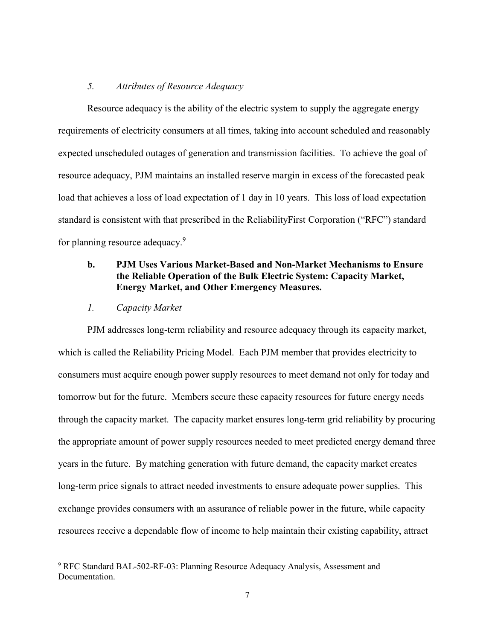### 5. Attributes of Resource Adequacy

Resource adequacy is the ability of the electric system to supply the aggregate energy requirements of electricity consumers at all times, taking into account scheduled and reasonably expected unscheduled outages of generation and transmission facilities. To achieve the goal of resource adequacy, PJM maintains an installed reserve margin in excess of the forecasted peak load that achieves a loss of load expectation of 1 day in 10 years. This loss of load expectation standard is consistent with that prescribed in the ReliabilityFirst Corporation ("RFC") standard for planning resource adequacy.<sup>9</sup>

# b. PJM Uses Various Market-Based and Non-Market Mechanisms to Ensure the Reliable Operation of the Bulk Electric System: Capacity Market, Energy Market, and Other Emergency Measures.

# 1. Capacity Market

PJM addresses long-term reliability and resource adequacy through its capacity market, which is called the Reliability Pricing Model. Each PJM member that provides electricity to consumers must acquire enough power supply resources to meet demand not only for today and tomorrow but for the future. Members secure these capacity resources for future energy needs through the capacity market. The capacity market ensures long-term grid reliability by procuring the appropriate amount of power supply resources needed to meet predicted energy demand three years in the future. By matching generation with future demand, the capacity market creates long-term price signals to attract needed investments to ensure adequate power supplies. This exchange provides consumers with an assurance of reliable power in the future, while capacity resources receive a dependable flow of income to help maintain their existing capability, attract

<sup>&</sup>lt;sup>9</sup> RFC Standard BAL-502-RF-03: Planning Resource Adequacy Analysis, Assessment and Documentation.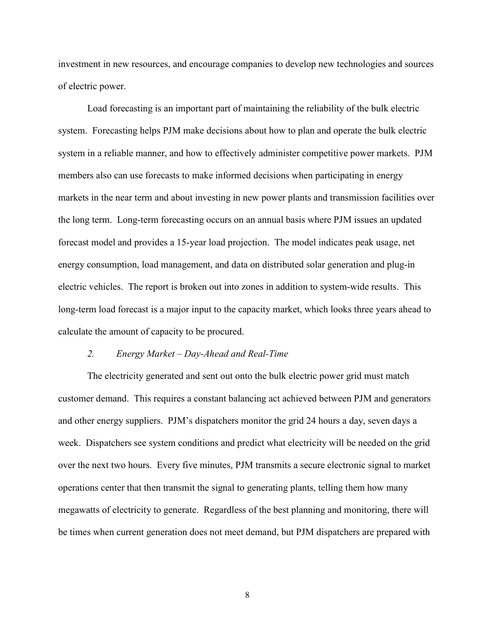investment in new resources, and encourage companies to develop new technologies and sources of electric power.

Load forecasting is an important part of maintaining the reliability of the bulk electric system. Forecasting helps PJM make decisions about how to plan and operate the bulk electric system in a reliable manner, and how to effectively administer competitive power markets. PJM members also can use forecasts to make informed decisions when participating in energy markets in the near term and about investing in new power plants and transmission facilities over the long term. Long-term forecasting occurs on an annual basis where PJM issues an updated forecast model and provides a 15-year load projection. The model indicates peak usage, net energy consumption, load management, and data on distributed solar generation and plug-in electric vehicles. The report is broken out into zones in addition to system-wide results. This long-term load forecast is a major input to the capacity market, which looks three years ahead to calculate the amount of capacity to be procured.

#### 2. Energy Market – Day-Ahead and Real-Time

The electricity generated and sent out onto the bulk electric power grid must match customer demand. This requires a constant balancing act achieved between PJM and generators and other energy suppliers. PJM's dispatchers monitor the grid 24 hours a day, seven days a week. Dispatchers see system conditions and predict what electricity will be needed on the grid over the next two hours. Every five minutes, PJM transmits a secure electronic signal to market operations center that then transmit the signal to generating plants, telling them how many megawatts of electricity to generate. Regardless of the best planning and monitoring, there will be times when current generation does not meet demand, but PJM dispatchers are prepared with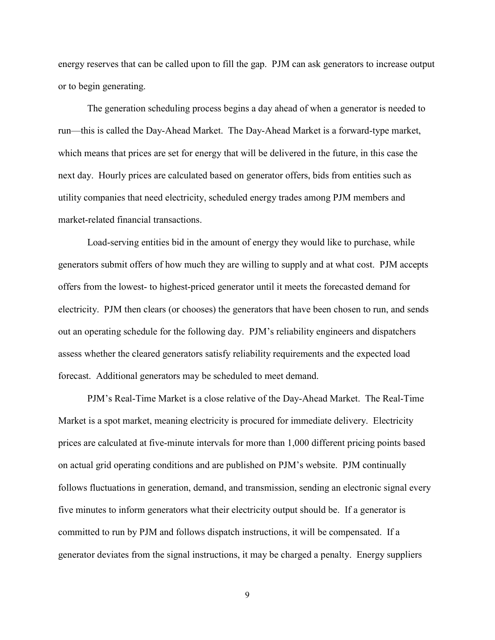energy reserves that can be called upon to fill the gap. PJM can ask generators to increase output or to begin generating.

The generation scheduling process begins a day ahead of when a generator is needed to run—this is called the Day-Ahead Market. The Day-Ahead Market is a forward-type market, which means that prices are set for energy that will be delivered in the future, in this case the next day. Hourly prices are calculated based on generator offers, bids from entities such as utility companies that need electricity, scheduled energy trades among PJM members and market-related financial transactions.

Load-serving entities bid in the amount of energy they would like to purchase, while generators submit offers of how much they are willing to supply and at what cost. PJM accepts offers from the lowest- to highest-priced generator until it meets the forecasted demand for electricity. PJM then clears (or chooses) the generators that have been chosen to run, and sends out an operating schedule for the following day. PJM's reliability engineers and dispatchers assess whether the cleared generators satisfy reliability requirements and the expected load forecast. Additional generators may be scheduled to meet demand.

PJM's Real-Time Market is a close relative of the Day-Ahead Market. The Real-Time Market is a spot market, meaning electricity is procured for immediate delivery. Electricity prices are calculated at five-minute intervals for more than 1,000 different pricing points based on actual grid operating conditions and are published on PJM's website. PJM continually follows fluctuations in generation, demand, and transmission, sending an electronic signal every five minutes to inform generators what their electricity output should be. If a generator is committed to run by PJM and follows dispatch instructions, it will be compensated. If a generator deviates from the signal instructions, it may be charged a penalty. Energy suppliers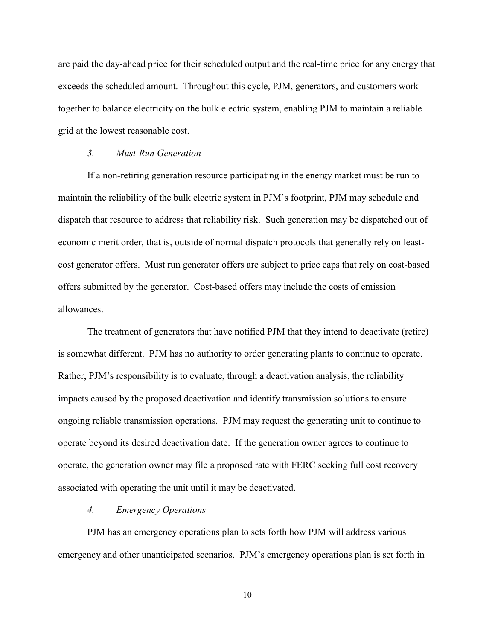are paid the day-ahead price for their scheduled output and the real-time price for any energy that exceeds the scheduled amount. Throughout this cycle, PJM, generators, and customers work together to balance electricity on the bulk electric system, enabling PJM to maintain a reliable grid at the lowest reasonable cost.

#### 3. Must-Run Generation

If a non-retiring generation resource participating in the energy market must be run to maintain the reliability of the bulk electric system in PJM's footprint, PJM may schedule and dispatch that resource to address that reliability risk. Such generation may be dispatched out of economic merit order, that is, outside of normal dispatch protocols that generally rely on leastcost generator offers. Must run generator offers are subject to price caps that rely on cost-based offers submitted by the generator. Cost-based offers may include the costs of emission allowances.

The treatment of generators that have notified PJM that they intend to deactivate (retire) is somewhat different. PJM has no authority to order generating plants to continue to operate. Rather, PJM's responsibility is to evaluate, through a deactivation analysis, the reliability impacts caused by the proposed deactivation and identify transmission solutions to ensure ongoing reliable transmission operations. PJM may request the generating unit to continue to operate beyond its desired deactivation date. If the generation owner agrees to continue to operate, the generation owner may file a proposed rate with FERC seeking full cost recovery associated with operating the unit until it may be deactivated.

#### 4. Emergency Operations

PJM has an emergency operations plan to sets forth how PJM will address various emergency and other unanticipated scenarios. PJM's emergency operations plan is set forth in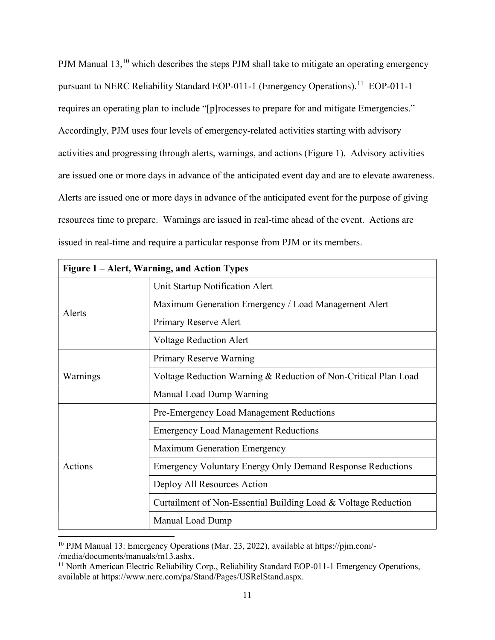PJM Manual 13,<sup>10</sup> which describes the steps PJM shall take to mitigate an operating emergency pursuant to NERC Reliability Standard EOP-011-1 (Emergency Operations).<sup>11</sup> EOP-011-1 requires an operating plan to include "[p]rocesses to prepare for and mitigate Emergencies." Accordingly, PJM uses four levels of emergency-related activities starting with advisory activities and progressing through alerts, warnings, and actions (Figure 1). Advisory activities are issued one or more days in advance of the anticipated event day and are to elevate awareness. Alerts are issued one or more days in advance of the anticipated event for the purpose of giving resources time to prepare. Warnings are issued in real-time ahead of the event. Actions are issued in real-time and require a particular response from PJM or its members.

| Figure 1 – Alert, Warning, and Action Types |                                                                   |  |
|---------------------------------------------|-------------------------------------------------------------------|--|
| Alerts                                      | Unit Startup Notification Alert                                   |  |
|                                             | Maximum Generation Emergency / Load Management Alert              |  |
|                                             | Primary Reserve Alert                                             |  |
|                                             | <b>Voltage Reduction Alert</b>                                    |  |
| Warnings                                    | Primary Reserve Warning                                           |  |
|                                             | Voltage Reduction Warning & Reduction of Non-Critical Plan Load   |  |
|                                             | Manual Load Dump Warning                                          |  |
| Actions                                     | Pre-Emergency Load Management Reductions                          |  |
|                                             | <b>Emergency Load Management Reductions</b>                       |  |
|                                             | <b>Maximum Generation Emergency</b>                               |  |
|                                             | <b>Emergency Voluntary Energy Only Demand Response Reductions</b> |  |
|                                             | Deploy All Resources Action                                       |  |
|                                             | Curtailment of Non-Essential Building Load & Voltage Reduction    |  |
|                                             | Manual Load Dump                                                  |  |

<sup>&</sup>lt;sup>10</sup> PJM Manual 13: Emergency Operations (Mar. 23, 2022), available at https://pjm.com/-/media/documents/manuals/m13.ashx.

<sup>&</sup>lt;sup>11</sup> North American Electric Reliability Corp., Reliability Standard EOP-011-1 Emergency Operations, available at https://www.nerc.com/pa/Stand/Pages/USRelStand.aspx.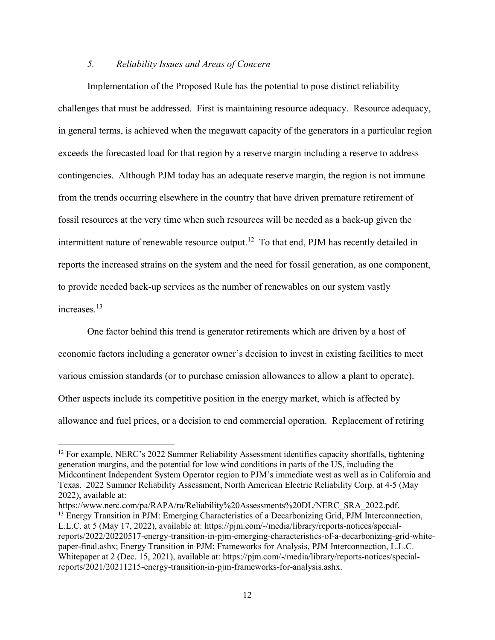### 5. Reliability Issues and Areas of Concern

Implementation of the Proposed Rule has the potential to pose distinct reliability challenges that must be addressed. First is maintaining resource adequacy. Resource adequacy, in general terms, is achieved when the megawatt capacity of the generators in a particular region exceeds the forecasted load for that region by a reserve margin including a reserve to address contingencies. Although PJM today has an adequate reserve margin, the region is not immune from the trends occurring elsewhere in the country that have driven premature retirement of fossil resources at the very time when such resources will be needed as a back-up given the intermittent nature of renewable resource output.<sup>12</sup> To that end, PJM has recently detailed in reports the increased strains on the system and the need for fossil generation, as one component, to provide needed back-up services as the number of renewables on our system vastly increases.<sup>13</sup>

One factor behind this trend is generator retirements which are driven by a host of economic factors including a generator owner's decision to invest in existing facilities to meet various emission standards (or to purchase emission allowances to allow a plant to operate). Other aspects include its competitive position in the energy market, which is affected by allowance and fuel prices, or a decision to end commercial operation. Replacement of retiring

 $\overline{a}$ 

<sup>&</sup>lt;sup>12</sup> For example, NERC's 2022 Summer Reliability Assessment identifies capacity shortfalls, tightening generation margins, and the potential for low wind conditions in parts of the US, including the Midcontinent Independent System Operator region to PJM's immediate west as well as in California and Texas. 2022 Summer Reliability Assessment, North American Electric Reliability Corp. at 4-5 (May 2022), available at:

https://www.nerc.com/pa/RAPA/ra/Reliability%20Assessments%20DL/NERC\_SRA\_2022.pdf. <sup>13</sup> Energy Transition in PJM: Emerging Characteristics of a Decarbonizing Grid, PJM Interconnection, L.L.C. at 5 (May 17, 2022), available at: https://pjm.com/-/media/library/reports-notices/specialreports/2022/20220517-energy-transition-in-pjm-emerging-characteristics-of-a-decarbonizing-grid-whitepaper-final.ashx; Energy Transition in PJM: Frameworks for Analysis, PJM Interconnection, L.L.C. Whitepaper at 2 (Dec. 15, 2021), available at: https://pjm.com/-/media/library/reports-notices/specialreports/2021/20211215-energy-transition-in-pjm-frameworks-for-analysis.ashx.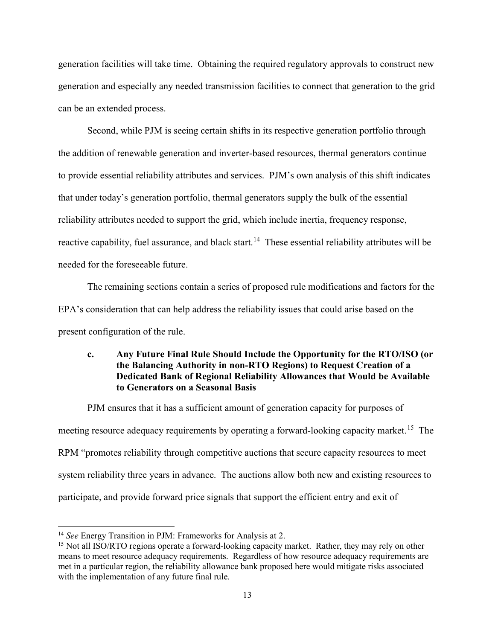generation facilities will take time. Obtaining the required regulatory approvals to construct new generation and especially any needed transmission facilities to connect that generation to the grid can be an extended process.

Second, while PJM is seeing certain shifts in its respective generation portfolio through the addition of renewable generation and inverter-based resources, thermal generators continue to provide essential reliability attributes and services. PJM's own analysis of this shift indicates that under today's generation portfolio, thermal generators supply the bulk of the essential reliability attributes needed to support the grid, which include inertia, frequency response, reactive capability, fuel assurance, and black start.<sup>14</sup> These essential reliability attributes will be needed for the foreseeable future.

The remaining sections contain a series of proposed rule modifications and factors for the EPA's consideration that can help address the reliability issues that could arise based on the present configuration of the rule.

# c. Any Future Final Rule Should Include the Opportunity for the RTO/ISO (or the Balancing Authority in non-RTO Regions) to Request Creation of a Dedicated Bank of Regional Reliability Allowances that Would be Available to Generators on a Seasonal Basis

PJM ensures that it has a sufficient amount of generation capacity for purposes of meeting resource adequacy requirements by operating a forward-looking capacity market.<sup>15</sup> The RPM "promotes reliability through competitive auctions that secure capacity resources to meet system reliability three years in advance. The auctions allow both new and existing resources to participate, and provide forward price signals that support the efficient entry and exit of

 $14$  See Energy Transition in PJM: Frameworks for Analysis at 2.

<sup>&</sup>lt;sup>15</sup> Not all ISO/RTO regions operate a forward-looking capacity market. Rather, they may rely on other means to meet resource adequacy requirements. Regardless of how resource adequacy requirements are met in a particular region, the reliability allowance bank proposed here would mitigate risks associated with the implementation of any future final rule.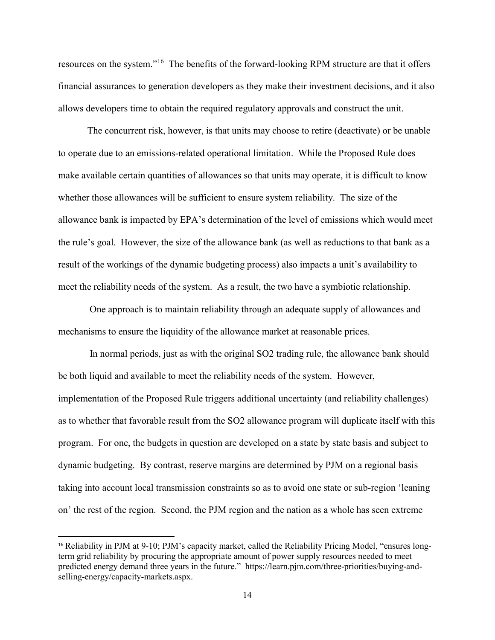resources on the system."<sup>16</sup> The benefits of the forward-looking RPM structure are that it offers financial assurances to generation developers as they make their investment decisions, and it also allows developers time to obtain the required regulatory approvals and construct the unit.

The concurrent risk, however, is that units may choose to retire (deactivate) or be unable to operate due to an emissions-related operational limitation. While the Proposed Rule does make available certain quantities of allowances so that units may operate, it is difficult to know whether those allowances will be sufficient to ensure system reliability. The size of the allowance bank is impacted by EPA's determination of the level of emissions which would meet the rule's goal. However, the size of the allowance bank (as well as reductions to that bank as a result of the workings of the dynamic budgeting process) also impacts a unit's availability to meet the reliability needs of the system. As a result, the two have a symbiotic relationship.

 One approach is to maintain reliability through an adequate supply of allowances and mechanisms to ensure the liquidity of the allowance market at reasonable prices.

 In normal periods, just as with the original SO2 trading rule, the allowance bank should be both liquid and available to meet the reliability needs of the system. However, implementation of the Proposed Rule triggers additional uncertainty (and reliability challenges) as to whether that favorable result from the SO2 allowance program will duplicate itself with this program. For one, the budgets in question are developed on a state by state basis and subject to dynamic budgeting. By contrast, reserve margins are determined by PJM on a regional basis taking into account local transmission constraints so as to avoid one state or sub-region 'leaning on' the rest of the region. Second, the PJM region and the nation as a whole has seen extreme

<sup>16</sup> Reliability in PJM at 9-10; PJM's capacity market, called the Reliability Pricing Model, "ensures longterm grid reliability by procuring the appropriate amount of power supply resources needed to meet predicted energy demand three years in the future." https://learn.pjm.com/three-priorities/buying-andselling-energy/capacity-markets.aspx.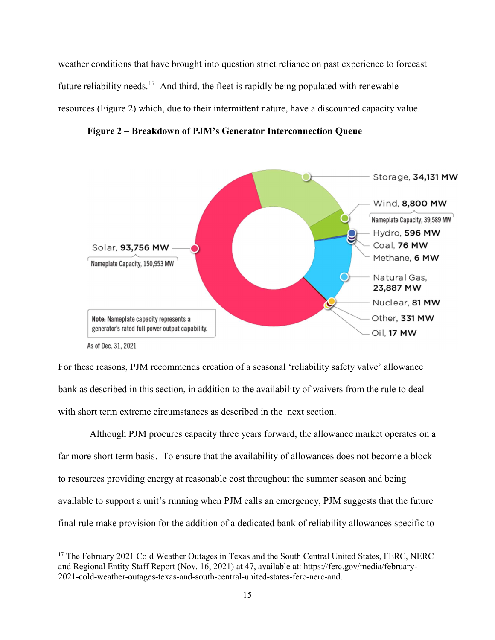weather conditions that have brought into question strict reliance on past experience to forecast future reliability needs.<sup>17</sup> And third, the fleet is rapidly being populated with renewable resources (Figure 2) which, due to their intermittent nature, have a discounted capacity value.





As of Dec. 31, 2021

 $\overline{a}$ 

For these reasons, PJM recommends creation of a seasonal 'reliability safety valve' allowance bank as described in this section, in addition to the availability of waivers from the rule to deal with short term extreme circumstances as described in the next section.

 Although PJM procures capacity three years forward, the allowance market operates on a far more short term basis. To ensure that the availability of allowances does not become a block to resources providing energy at reasonable cost throughout the summer season and being available to support a unit's running when PJM calls an emergency, PJM suggests that the future final rule make provision for the addition of a dedicated bank of reliability allowances specific to

<sup>&</sup>lt;sup>17</sup> The February 2021 Cold Weather Outages in Texas and the South Central United States, FERC, NERC and Regional Entity Staff Report (Nov. 16, 2021) at 47, available at: https://ferc.gov/media/february-2021-cold-weather-outages-texas-and-south-central-united-states-ferc-nerc-and.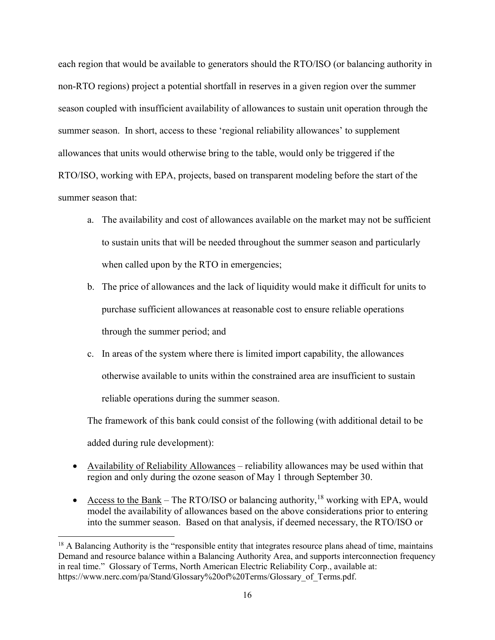each region that would be available to generators should the RTO/ISO (or balancing authority in non-RTO regions) project a potential shortfall in reserves in a given region over the summer season coupled with insufficient availability of allowances to sustain unit operation through the summer season. In short, access to these 'regional reliability allowances' to supplement allowances that units would otherwise bring to the table, would only be triggered if the RTO/ISO, working with EPA, projects, based on transparent modeling before the start of the summer season that:

- a. The availability and cost of allowances available on the market may not be sufficient to sustain units that will be needed throughout the summer season and particularly when called upon by the RTO in emergencies;
- b. The price of allowances and the lack of liquidity would make it difficult for units to purchase sufficient allowances at reasonable cost to ensure reliable operations through the summer period; and
- c. In areas of the system where there is limited import capability, the allowances otherwise available to units within the constrained area are insufficient to sustain reliable operations during the summer season.

The framework of this bank could consist of the following (with additional detail to be added during rule development):

- Availability of Reliability Allowances reliability allowances may be used within that region and only during the ozone season of May 1 through September 30.
- Access to the Bank The RTO/ISO or balancing authority,  $18$  working with EPA, would model the availability of allowances based on the above considerations prior to entering into the summer season. Based on that analysis, if deemed necessary, the RTO/ISO or

 $18$  A Balancing Authority is the "responsible entity that integrates resource plans ahead of time, maintains Demand and resource balance within a Balancing Authority Area, and supports interconnection frequency in real time." Glossary of Terms, North American Electric Reliability Corp., available at: https://www.nerc.com/pa/Stand/Glossary%20of%20Terms/Glossary\_of\_Terms.pdf.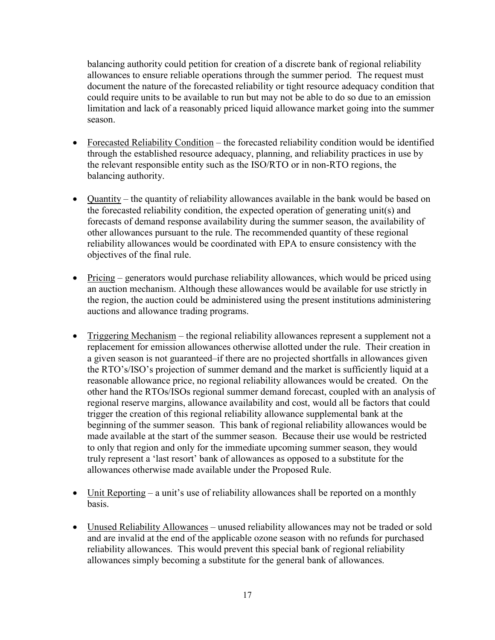balancing authority could petition for creation of a discrete bank of regional reliability allowances to ensure reliable operations through the summer period. The request must document the nature of the forecasted reliability or tight resource adequacy condition that could require units to be available to run but may not be able to do so due to an emission limitation and lack of a reasonably priced liquid allowance market going into the summer season.

- Forecasted Reliability Condition the forecasted reliability condition would be identified through the established resource adequacy, planning, and reliability practices in use by the relevant responsible entity such as the ISO/RTO or in non-RTO regions, the balancing authority.
- Quantity the quantity of reliability allowances available in the bank would be based on the forecasted reliability condition, the expected operation of generating unit(s) and forecasts of demand response availability during the summer season, the availability of other allowances pursuant to the rule. The recommended quantity of these regional reliability allowances would be coordinated with EPA to ensure consistency with the objectives of the final rule.
- Pricing generators would purchase reliability allowances, which would be priced using an auction mechanism. Although these allowances would be available for use strictly in the region, the auction could be administered using the present institutions administering auctions and allowance trading programs.
- Triggering Mechanism the regional reliability allowances represent a supplement not a replacement for emission allowances otherwise allotted under the rule. Their creation in a given season is not guaranteed–if there are no projected shortfalls in allowances given the RTO's/ISO's projection of summer demand and the market is sufficiently liquid at a reasonable allowance price, no regional reliability allowances would be created. On the other hand the RTOs/ISOs regional summer demand forecast, coupled with an analysis of regional reserve margins, allowance availability and cost, would all be factors that could trigger the creation of this regional reliability allowance supplemental bank at the beginning of the summer season. This bank of regional reliability allowances would be made available at the start of the summer season. Because their use would be restricted to only that region and only for the immediate upcoming summer season, they would truly represent a 'last resort' bank of allowances as opposed to a substitute for the allowances otherwise made available under the Proposed Rule.
- Unit Reporting a unit's use of reliability allowances shall be reported on a monthly basis.
- Unused Reliability Allowances unused reliability allowances may not be traded or sold and are invalid at the end of the applicable ozone season with no refunds for purchased reliability allowances. This would prevent this special bank of regional reliability allowances simply becoming a substitute for the general bank of allowances.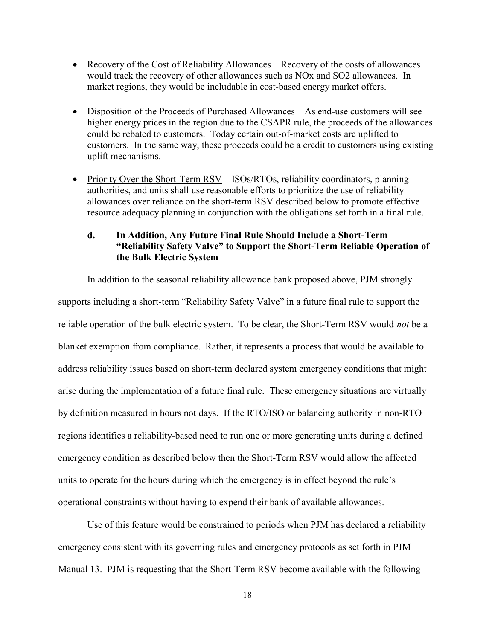- Recovery of the Cost of Reliability Allowances Recovery of the costs of allowances would track the recovery of other allowances such as NOx and SO2 allowances. In market regions, they would be includable in cost-based energy market offers.
- Disposition of the Proceeds of Purchased Allowances As end-use customers will see higher energy prices in the region due to the CSAPR rule, the proceeds of the allowances could be rebated to customers. Today certain out-of-market costs are uplifted to customers. In the same way, these proceeds could be a credit to customers using existing uplift mechanisms.
- Priority Over the Short-Term  $RSV ISOs/RTOs$ , reliability coordinators, planning authorities, and units shall use reasonable efforts to prioritize the use of reliability allowances over reliance on the short-term RSV described below to promote effective resource adequacy planning in conjunction with the obligations set forth in a final rule.

# d. In Addition, Any Future Final Rule Should Include a Short-Term "Reliability Safety Valve" to Support the Short-Term Reliable Operation of the Bulk Electric System

In addition to the seasonal reliability allowance bank proposed above, PJM strongly supports including a short-term "Reliability Safety Valve" in a future final rule to support the reliable operation of the bulk electric system. To be clear, the Short-Term RSV would not be a blanket exemption from compliance. Rather, it represents a process that would be available to address reliability issues based on short-term declared system emergency conditions that might arise during the implementation of a future final rule. These emergency situations are virtually by definition measured in hours not days. If the RTO/ISO or balancing authority in non-RTO regions identifies a reliability-based need to run one or more generating units during a defined emergency condition as described below then the Short-Term RSV would allow the affected units to operate for the hours during which the emergency is in effect beyond the rule's operational constraints without having to expend their bank of available allowances.

Use of this feature would be constrained to periods when PJM has declared a reliability emergency consistent with its governing rules and emergency protocols as set forth in PJM Manual 13. PJM is requesting that the Short-Term RSV become available with the following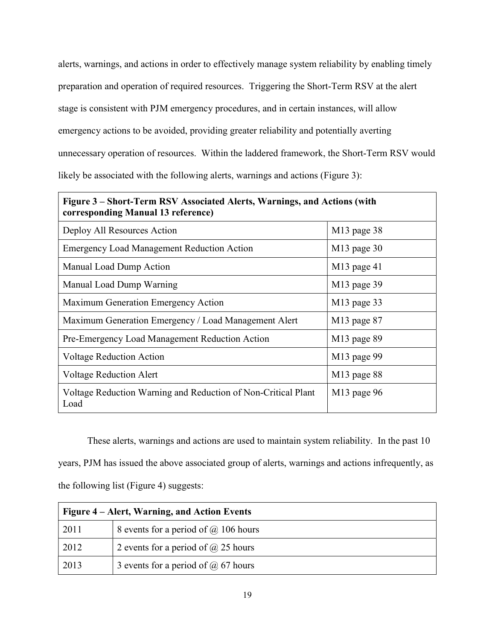alerts, warnings, and actions in order to effectively manage system reliability by enabling timely preparation and operation of required resources. Triggering the Short-Term RSV at the alert stage is consistent with PJM emergency procedures, and in certain instances, will allow emergency actions to be avoided, providing greater reliability and potentially averting unnecessary operation of resources. Within the laddered framework, the Short-Term RSV would likely be associated with the following alerts, warnings and actions (Figure 3):

| Figure 3 – Short-Term RSV Associated Alerts, Warnings, and Actions (with<br>corresponding Manual 13 reference) |               |  |
|----------------------------------------------------------------------------------------------------------------|---------------|--|
| Deploy All Resources Action                                                                                    | $M13$ page 38 |  |
| <b>Emergency Load Management Reduction Action</b>                                                              | $M13$ page 30 |  |
| Manual Load Dump Action                                                                                        | $M13$ page 41 |  |
| Manual Load Dump Warning                                                                                       | $M13$ page 39 |  |
| Maximum Generation Emergency Action                                                                            | $M13$ page 33 |  |
| Maximum Generation Emergency / Load Management Alert                                                           | $M13$ page 87 |  |
| Pre-Emergency Load Management Reduction Action                                                                 | $M13$ page 89 |  |
| <b>Voltage Reduction Action</b>                                                                                | $M13$ page 99 |  |
| <b>Voltage Reduction Alert</b>                                                                                 | $M13$ page 88 |  |
| Voltage Reduction Warning and Reduction of Non-Critical Plant<br>Load                                          | $M13$ page 96 |  |

These alerts, warnings and actions are used to maintain system reliability. In the past 10 years, PJM has issued the above associated group of alerts, warnings and actions infrequently, as the following list (Figure 4) suggests:

| Figure 4 – Alert, Warning, and Action Events |                                             |
|----------------------------------------------|---------------------------------------------|
| 2011                                         | 8 events for a period of $\omega$ 106 hours |
| 2012                                         | 2 events for a period of $\omega$ 25 hours  |
| 2013                                         | 3 events for a period of $\omega$ 67 hours  |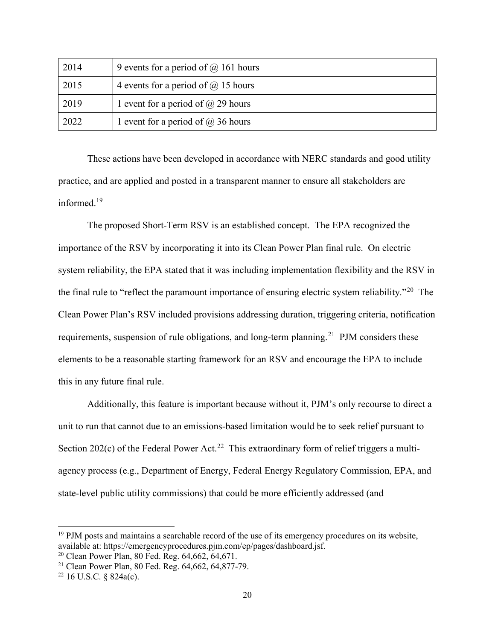| 2014 | 9 events for a period of $\omega$ 161 hours |
|------|---------------------------------------------|
| 2015 | 4 events for a period of $\omega$ 15 hours  |
| 2019 | 1 event for a period of $\omega$ 29 hours   |
| 2022 | 1 event for a period of $\omega$ 36 hours   |

These actions have been developed in accordance with NERC standards and good utility practice, and are applied and posted in a transparent manner to ensure all stakeholders are informed.<sup>19</sup>

The proposed Short-Term RSV is an established concept. The EPA recognized the importance of the RSV by incorporating it into its Clean Power Plan final rule. On electric system reliability, the EPA stated that it was including implementation flexibility and the RSV in the final rule to "reflect the paramount importance of ensuring electric system reliability."<sup>20</sup> The Clean Power Plan's RSV included provisions addressing duration, triggering criteria, notification requirements, suspension of rule obligations, and long-term planning.<sup>21</sup> PJM considers these elements to be a reasonable starting framework for an RSV and encourage the EPA to include this in any future final rule.

Additionally, this feature is important because without it, PJM's only recourse to direct a unit to run that cannot due to an emissions-based limitation would be to seek relief pursuant to Section 202(c) of the Federal Power Act.<sup>22</sup> This extraordinary form of relief triggers a multiagency process (e.g., Department of Energy, Federal Energy Regulatory Commission, EPA, and state-level public utility commissions) that could be more efficiently addressed (and

<sup>&</sup>lt;sup>19</sup> PJM posts and maintains a searchable record of the use of its emergency procedures on its website, available at: https://emergencyprocedures.pjm.com/ep/pages/dashboard.jsf.

<sup>20</sup> Clean Power Plan, 80 Fed. Reg. 64,662, 64,671.

<sup>21</sup> Clean Power Plan, 80 Fed. Reg. 64,662, 64,877-79.

 $22$  16 U.S.C. § 824a(c).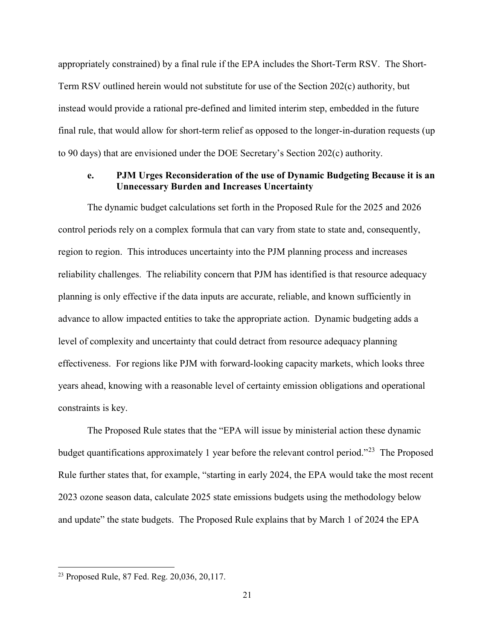appropriately constrained) by a final rule if the EPA includes the Short-Term RSV. The Short-Term RSV outlined herein would not substitute for use of the Section 202(c) authority, but instead would provide a rational pre-defined and limited interim step, embedded in the future final rule, that would allow for short-term relief as opposed to the longer-in-duration requests (up to 90 days) that are envisioned under the DOE Secretary's Section 202(c) authority.

### e. PJM Urges Reconsideration of the use of Dynamic Budgeting Because it is an Unnecessary Burden and Increases Uncertainty

The dynamic budget calculations set forth in the Proposed Rule for the 2025 and 2026 control periods rely on a complex formula that can vary from state to state and, consequently, region to region. This introduces uncertainty into the PJM planning process and increases reliability challenges. The reliability concern that PJM has identified is that resource adequacy planning is only effective if the data inputs are accurate, reliable, and known sufficiently in advance to allow impacted entities to take the appropriate action. Dynamic budgeting adds a level of complexity and uncertainty that could detract from resource adequacy planning effectiveness. For regions like PJM with forward-looking capacity markets, which looks three years ahead, knowing with a reasonable level of certainty emission obligations and operational constraints is key.

The Proposed Rule states that the "EPA will issue by ministerial action these dynamic budget quantifications approximately 1 year before the relevant control period."<sup>23</sup> The Proposed Rule further states that, for example, "starting in early 2024, the EPA would take the most recent 2023 ozone season data, calculate 2025 state emissions budgets using the methodology below and update" the state budgets. The Proposed Rule explains that by March 1 of 2024 the EPA

<sup>23</sup> Proposed Rule, 87 Fed. Reg. 20,036, 20,117.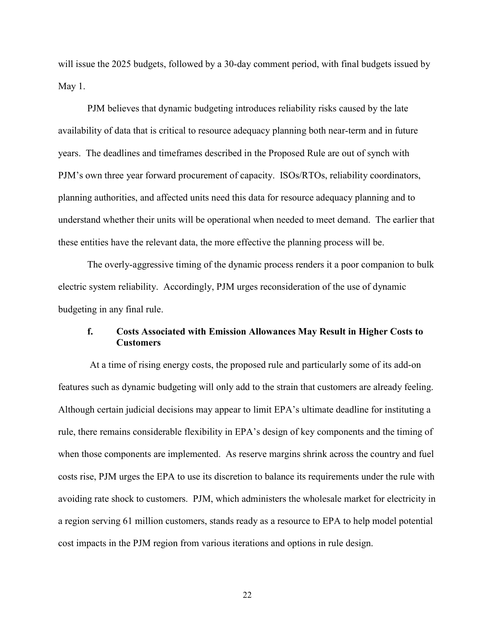will issue the 2025 budgets, followed by a 30-day comment period, with final budgets issued by May 1.

PJM believes that dynamic budgeting introduces reliability risks caused by the late availability of data that is critical to resource adequacy planning both near-term and in future years. The deadlines and timeframes described in the Proposed Rule are out of synch with PJM's own three year forward procurement of capacity. ISOs/RTOs, reliability coordinators, planning authorities, and affected units need this data for resource adequacy planning and to understand whether their units will be operational when needed to meet demand. The earlier that these entities have the relevant data, the more effective the planning process will be.

The overly-aggressive timing of the dynamic process renders it a poor companion to bulk electric system reliability. Accordingly, PJM urges reconsideration of the use of dynamic budgeting in any final rule.

# f. Costs Associated with Emission Allowances May Result in Higher Costs to **Customers**

 At a time of rising energy costs, the proposed rule and particularly some of its add-on features such as dynamic budgeting will only add to the strain that customers are already feeling. Although certain judicial decisions may appear to limit EPA's ultimate deadline for instituting a rule, there remains considerable flexibility in EPA's design of key components and the timing of when those components are implemented. As reserve margins shrink across the country and fuel costs rise, PJM urges the EPA to use its discretion to balance its requirements under the rule with avoiding rate shock to customers. PJM, which administers the wholesale market for electricity in a region serving 61 million customers, stands ready as a resource to EPA to help model potential cost impacts in the PJM region from various iterations and options in rule design.